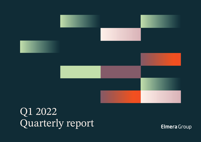

Q1 2022 Quarterly report

Elmera Group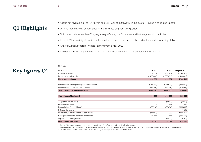**Revenue**

## Q1 Highlights

- Group net revenue adj. of 484 NOKm and EBIT adj. of 160 NOKm in the quarter in line with trading update
- All time high financial performance in the Business segment this quarter
- Volume sold decrease 20% YoY, negatively affecting the Consumer and NGI segments in particular
- Loss of 20k electricity deliveries in the quarter however, the trend at the end of the quarter was fairly stable
- Share buyback program initiated, starting from 5 May 2022
- Dividend of NOK 3.5 per share for 2021 to be distributed to eligible shareholders 5 May 2022

## Key figures Q1

| .                                               |                          |                          |                |
|-------------------------------------------------|--------------------------|--------------------------|----------------|
| NOK in thousands                                | Q1 2022                  | Q1 2021                  | Full year 2021 |
| Revenue adjusted*                               | 6 890 652                | 4 062 952                | 15 200 165     |
| Direct cost of sales adjusted                   | (6406665)                | (3553371)                | (13499669)     |
| Net revenue adjusted                            | 483 987                  | 509 581                  | 1700 496       |
|                                                 |                          |                          |                |
| Personnel and other operating expenses adjusted | (261188)                 | (245013)                 | (899993)       |
| Depreciation and amortisation adjusted          | (62, 406)                | (49 280)                 | (214455)       |
| <b>Total operating expenses adjusted</b>        | (323 594)                | (294 293)                | (1114448)      |
|                                                 |                          |                          |                |
| <b>Operating profit adjusted</b>                | 160 393                  | 215 288                  | 586 048        |
|                                                 |                          |                          |                |
| Acquisition related costs                       |                          | (1034)                   | (1034)         |
| Other one- off items                            |                          | 3 3 8 7                  | 3 3 8 7        |
| Depreciation of acquisitions **                 | (33713)                  | (50575)                  | (188629)       |
| Estimate deviations                             | $\overline{\phantom{a}}$ | $\overline{\phantom{a}}$ | 11515          |
| Unrealised gains and losses on derivatives      | (71667)                  | 5 3 8 8                  | 1 088 469      |
| Change in provisions for onerous contracts      | 99 516                   | 18 655                   | (996 739)      |
| Impairment of intangible assets                 |                          | (9533)                   | (9762)         |
| <b>Operating profit (EBIT)</b>                  | 154 528                  | 181 577                  | 493 256        |

\* Note 3 (Revenue recognitions) shows the breakdown from Revenue adjusted to Total revenue.

\*\* Depreciation of acquisitions consists of depreciations of customer portfolios acquired seperately and recognised as intangible assets, and depreciations of customer portfolios and other intangible assets recognised as part of a business combination.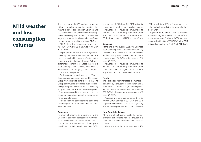## **Elmera** Group

## Mild weather and low consumption volumes

The first quarter of 2022 has been a quarter with mild weather across the Nordics. This results in lower consumption volumes and has affected both the Consumer and NGI segments negatively this quarter. The Business segment, however, is delivering its best financial performance of all time, with an EBIT adj. of 100 NOKm. The Group's net revenue adj. was 484 NOKm and EBIT adj. was 160 NOKm in Q1 2022.

Elspot prices remain at a very high level, driven by the weather situation and the oil & gas price level, which again is affected by the ongoing war in Ukraine. The peak/off-peak differences continue to affect the Nordic segment negatively, however, there were no losses from under-hedging of the fixed price contracts in the quarter.

On the annual general meeting on 26 April, the company name was changed to Elmera Group ASA. This was done to reflect that The Group constitutes a diversified business consisting of significantly more than the electricity supplier Fjordkraft AS and the development of the business and the company portfolio is expected to continue under the Group's new name going forward.

Figures from the corresponding period the previous year are in brackets, unless otherwise specified.

#### **Consumer**

Number of electricity deliveries in the Consumer segment decreased by 29 thousand deliveries in the quarter due to intense competition and termination of the "price match" service. Volume sold was 2,641 GWh,

a decrease of 29% from Q1 2021, primarily driven by mild weather and high elspot prices. Adjusted net revenue amounted to 265 NOKm (312 NOKm), adjusted OPEX amounted to 200 NOKm (202 NOKm) and EBIT adj. amounted to 65 NOKm (110 NOKm).

#### **Business**

At the end of first quarter 2022, the Business segment comprised 115 thousand electricity deliveries, an increase of 4 thousand deliveries from last quarter. The volume sold in the quarter was 2,182 GWh, a decrease of 17% from Q1 2021.

Adjusted net revenue amounted to 161 NOKm (138 NOKm), adjusted OPEX amounted to 61 NOKm (48 NOKm) and EBIT adj. amounted to 100 NOKm (90 NOKm).

### **Nordic**

The Nordic segment increased the number of deliveries by 5 thousand in the quarter, and at the end of Q1 2022 the segment comprised 177 thousand deliveries. Volume sold was 968 GWh in the quarter, a decrease of 4% from Q1 2021.

Adjusted net revenue amounted to 32 NOKm, OPEX adjusted to 33 NOKm and EBIT adjusted amounted to -1 NOKm, negatively affected by the peak/off-peak price difference.

## **New Growth Initiatives**

At the end of first quarter 2022, the number of mobile subscribers was 154 thousand, a decrease of 6 thousand subscribers from last quarter.

Alliance volume in the quarter was 1,404

GWh, which is a 16% YoY decrease. The Extended Alliance deliveries were stable in the quarter.

Adjusted net revenue in the New Growth Initiatives segment amounts to 26 NOKm, a YoY increase of 7 NOKm. OPEX adjusted amounted to 29 NOKm (26 NOKm), while EBIT adjusted amounted to -3 NOKm (-7 NOKm).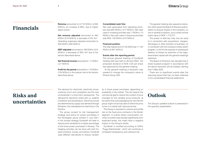## Financials

**Revenue** amounted to 6,718 NOKm (4,055 NOKm), an increase of 66%, due to higher elspot prices.

**Net revenue adjusted** amounted to 484 NOKm (510 NOKm), a decrease of 5% YoY. Operating expenses adjusted amounted to 324 NOKm (294 NOKm).

**EBIT adjusted** amounted to 160 NOKm (215 NOKm), a decrease of 25% YoY due to the factors described above.

**Net financial income** amounted to -11 NOKm (-21 NOKm).

**Profit for the period** amounted to 110 NOKm (134 NOKm) in the quarter due to the factors described above.

### **Consolidated cash flow**

Net cash generated from operating activities was 642 NOKm (-417 NOKm). Net cash used in investing activities was -7 NOKm (-13 NOKm). Net cash used in financing activities was NOK 123 NOKm (415 NOKm).

### **Financial position**

The total capital as of 31.03.2022 was 11,134 NOKm (5,931 NOKm).

### **Events after the reporting period**

The annual general meeting of Fjordkraft Holding ASA was held on 26 April 2022. The proposed dividend of NOK 3,50 per share was approved by the general meeting.

At the general meeting a resolution was passed to change the company's name to Elmera Group ASA.

The general meeting also passed a resolution which gives the Board of Directors authorisation to acquire shares in the company, on one or several occasions, up to a total nominal share value of NOK 1,715,277.

The power of attorney may only be used (i) in connection with acquisitions, mergers, demergers or other transfers of business, (ii) in connection with the company's share option program, or (iii) for the purpose of subsequent deletion of shares by reduction of the registered share capital with the general meetings resolution.

The Board of Directors has decided that a share buyback program in accordance with the above resolution will be initiated, starting from 5 May 2022.

There are no significant events after the reporting period that has not been reflected in the consolidated financial statements.

## Risks and uncertainties

The demand for electricity, electricity prices, customer churn and competition are the main uncertainties in a short-term perspective. The demand for electricity varies with i.a. weather conditions and temperature. Electricity prices are determined by supply and demand through Nordpool, the marketplace for electricity in the **Nordics** 

The group revised its risk management strategy and policy for power purchases in the Norwegian group entities in July 2021. In the revised strategy Fjordkraft will seek to reduce price variability for a higher percentage of the future power purchases in Norway. The hedging activities can be done with both forward contracts, futures, and options. Fjordkraft uses different derivatives to reduce variability in future power purchases, depending on availability in the market. This will support the commercial goal to reduce the number of price changes for the variable price products, at the same time acknowledging the risk that the group might not be fully able to follow the price curve in a market with reduced prices.

The Group is exposed to volume and profile risk on the fixed price contracts in the Nordic segment. In events where consumption volumes or profile costs deviate significantly from expected levels, this might have a negative impact on the Group's results.

Fjordkraft is certified according to DNV's "Trygg Strømhandel", which will contribute to increased transparency and reduced risk.

## **Outlook**

The Group's updated outlook is presented in the quarterly presentation.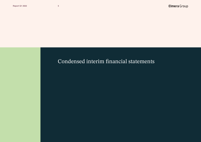## Condensed interim financial statements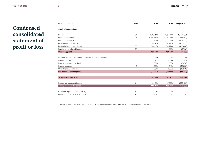## Elmera Group

## Condensed consolidated statement of profit or loss

| NOK in thousands                                              | <b>Note</b>    | Q1 2022   | Q1 2021       | Full year 2021 |
|---------------------------------------------------------------|----------------|-----------|---------------|----------------|
|                                                               |                |           |               |                |
| <b>Continuing operations</b>                                  |                |           |               |                |
| Revenue                                                       | 2,3            | 6718296   | 4 0 5 4 8 6 9 | 15 170 991     |
| Direct cost of sales                                          | $\mathfrak{D}$ | (6206461) | (3521245)     | (13367251)     |
| Personnel expenses                                            | $\overline{c}$ | (111317)  | (111 493)     | (409 123)      |
| Other operating expenses                                      | $\overline{c}$ | (149870)  | (131 246)     | (488517)       |
| Depreciation and amortisation                                 | 2,7            | (96119)   | (99774)       | (403084)       |
| Impairment of intangible assets                               | 2,7            |           | (9533)        | (9762)         |
| <b>Operating profit</b>                                       |                | 154 528   | 181 577       | 493 256        |
|                                                               |                |           |               |                |
| Income/loss from investments in associates and joint ventures |                | 239       | 734           | 2637           |
| Interest income                                               |                | 5 3 7 4   | 2 4 9 9       | 12801          |
| Interest expense lease liability                              |                | (531)     | (658)         | (2374)         |
| Interest expense                                              | 12             | (6060)    | (10219)       | (42583)        |
| Other financial items, net                                    |                | (10094)   | (12922)       | (19219)        |
| Net financial income/(cost)                                   |                | (11072)   | (20 566)      | (48737)        |
|                                                               |                |           |               |                |
| Profit/ (loss) before tax                                     |                | 143 456   | 161 011       | 444 519        |
|                                                               |                |           |               |                |
| Income tax (expense)/income                                   | 5              | (33 409)  | (27368)       | (102 150)      |
| Profit/ (loss) for the period                                 |                | 110 047   | 133 643       | 342 369        |
| Basic earnings per share (in NOK)*                            | 6              | 0,96      | 1,17          | 3,00           |
| Diluted earnings per share (in NOK)*                          | 6              | 0.95      | 1,15          | 2,96           |
|                                                               |                |           |               |                |

\* Based on a weighted average of 114 322 587 shares outstanding. It is issued 1 820 000 share options to employees.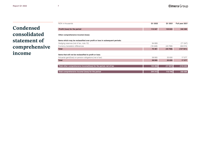Condensed consolidated statement of comprehensive income

| NOK in thousands                                                           | Q1 2022 | Q1 2021                  | Full year 2021 |
|----------------------------------------------------------------------------|---------|--------------------------|----------------|
| Profit/ (loss) for the period                                              | 110 047 | 133 643                  | 342 369        |
| Other comprehensive income/ (loss):                                        |         |                          |                |
| Items which may be reclassified over profit or loss in subsequent periods: |         |                          |                |
| Hedging reserves (net of tax, note 10)                                     | 94 809  | $\overline{\phantom{a}}$ | (71347)        |
| Currency translation differences                                           | (19448) | (43768)                  | (56 574)       |
| <b>Total</b>                                                               | 75 361  | (43768)                  | (127921)       |
| Items that will not be reclassified to profit or loss:                     |         |                          |                |
| Actuarial gain/(loss) on pension obligations (net of tax)                  | 58 905  | 25 830                   | 17577          |
| <b>Total</b>                                                               | 58 905  | 25 830                   | 17 577         |
| Total other comprehensive income/(loss) for the period, net of tax         | 134 266 | (17937)                  | (110343)       |
| Total comprehensive income/ (loss) for the period                          | 244 312 | 115 706                  | 232 026        |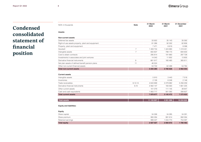## Condensed consolidated statement of financial position

| <b>Note</b>    | 31 March<br>2022 | 31 March<br>2021                                                     | 31 December<br>2021                                         |
|----------------|------------------|----------------------------------------------------------------------|-------------------------------------------------------------|
|                |                  |                                                                      |                                                             |
|                |                  |                                                                      |                                                             |
|                | 33 922           | 35 143                                                               | 35 0 92                                                     |
|                | 81 286           | 92 302                                                               | 82 806                                                      |
|                | 7471             | 8819                                                                 | 8098                                                        |
| $\overline{7}$ | 1 409 734        | 1424680                                                              | 1 419 451                                                   |
| $\overline{7}$ | 650 837          | 798 173                                                              | 694 630                                                     |
|                | 295 814          | 191 660                                                              | 287 728                                                     |
|                | 14 043           | 11 902                                                               | 13 805                                                      |
| 9              | 661 917          | 160 460                                                              | 365 611                                                     |
| 11             | 46 524           | ÷.                                                                   |                                                             |
|                | 53 732           | 62 488                                                               | 54 784                                                      |
|                | 3 255 280        | 2 785 626                                                            | 2 962 003                                                   |
|                |                  |                                                                      |                                                             |
|                |                  |                                                                      |                                                             |
|                |                  |                                                                      | 7518                                                        |
|                |                  |                                                                      | 2 146                                                       |
|                |                  |                                                                      | 5 256 259                                                   |
|                |                  |                                                                      | 1 661 225                                                   |
|                |                  |                                                                      | 38 847                                                      |
|                |                  |                                                                      | 306 627                                                     |
|                | 7878677          | 3 145 472                                                            | 7 272 622                                                   |
|                |                  |                                                                      |                                                             |
|                | 8,12,14<br>9,10  | 5910<br>2 1 2 6<br>4 643 699<br>2 062 147<br>101 079<br>1 0 63 7 1 7 | 3443<br>6 248<br>2 279 982<br>183 563<br>111 145<br>561 092 |

| × | .,<br>× |
|---|---------|

| <b>Total equity</b> | 2 027 027 | 2 060 672 | 780 482 |
|---------------------|-----------|-----------|---------|
| Retained earnings   | 999 427   | 1 034 773 | 754 097 |
| Share premium       | 993 294   | 991 614   | 992 094 |
| Share capital       | 34 306    | 34 285    | 34 291  |
|                     |           |           |         |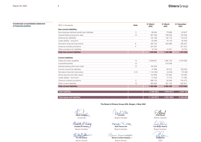## **Condensed consolidated statement of financial position**

| <b>Note</b>    | 31 March<br>2022 | 31 March<br>2021 | 31 December<br>2021 |
|----------------|------------------|------------------|---------------------|
|                |                  |                  |                     |
| 11             | 66 904           | 79 688           | 93 837              |
| 12             | 697 299          | 789 260          | 720 009             |
|                | 155 189          | 140 118          | 118 318             |
|                | 63 399           | 78 133           | 65 259              |
| 9              | 494 732          | 203 286          | 238 481             |
| $\overline{4}$ | 347 291          |                  | 321 814             |
|                | 16 150           | 14 501           | 16740               |
|                | 1840964          | 1 304 988        | 1 574 458           |
|                |                  |                  |                     |
| 14             | 4599821          | 1 365 123        | 4516589             |
| 12             |                  | 472 648          |                     |
| 12             | 150 000          |                  |                     |
|                | 47889            | 35 912           | 108 400             |
| 9,10           | 1 144 384        | 55 945           | 719 946             |
|                | 154 859          | 170 295          | 116 390             |
|                | 21 454           | 17414            | 21 055              |
| $\overline{4}$ | 586 753          | 50 948           | 744 473             |
| 13             | 560 805          | 397 155          | 652 831             |
|                | 7 265 966        | 2 565 439        | 6 879 684           |
|                | 9 106 930        | 3 870 427        | 8 4 5 4 1 4 2       |
|                | 11 133 957       | 5931098          | 10 234 624          |
|                |                  |                  |                     |

## **The Board of Elmera Group ASA, Bergen, 4 May 2022**

**Steinar Sønsteby**  Chairman

Elizabeth M. Norbin **Elisabeth M. Norberg** Board member

Par **Per Oluf Solbraa**

Board member

11o **Tone Wille**

Board member

Heidi T. Cx **Heidi Theresa Ose** Board member

Maianne Chlyem-Solbjærg **Marianne Unhjem-Solbjørg** 

Board member

**Frank Økland**

Board member

**Live Bertha Haukvik** Board member

**Rolf Barmen**  gle

CEO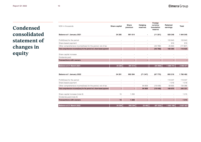## Condensed consolidated statement of changes in equity

| NOK in thousands                                                           | Share capital | <b>Share</b><br>premium | Hedging<br>reserves | Foreign<br>currency<br>translation<br>reserve | <b>Retained</b><br>earnings | <b>Total</b> |
|----------------------------------------------------------------------------|---------------|-------------------------|---------------------|-----------------------------------------------|-----------------------------|--------------|
| Balance at 1 January 2021                                                  | 34 285        | 991 614                 |                     | (11 201)                                      | 929 348                     | 1944 045     |
|                                                                            |               |                         |                     |                                               |                             |              |
| Profit/(loss) for the period                                               |               |                         |                     |                                               | 133 643                     | 133 643      |
| Share-based payment                                                        |               |                         |                     |                                               | 919                         | 919          |
| Other comprehensive income/(loss) for the period, net of tax               |               |                         | $\sim$              | (43768)                                       | 25 830                      | (17937)      |
| Total comprehensive income/(loss) for the period incl. share-based payment | ×.            | ÷.                      | ä,                  | (43768)                                       | 160 393                     | 116 625      |
| Share capital increase                                                     |               |                         |                     |                                               |                             |              |
| Dividends paid                                                             |               |                         |                     |                                               |                             |              |
| <b>Transactions with owners</b>                                            | ÷.            | ×.                      | ä,                  |                                               |                             |              |
|                                                                            |               |                         |                     |                                               |                             |              |
| Balance at 31 March 2021                                                   | 34 285        | 991 614                 |                     | (54969)                                       | 1 089 741                   | 2 060 671    |
|                                                                            |               |                         |                     |                                               |                             |              |
| Balance at 1 January 2022                                                  | 34 291        | 992 094                 | (71347)             | (67775)                                       | 893 218                     | 1780482      |
|                                                                            |               |                         |                     |                                               |                             |              |
| Profit/(loss) for the period                                               |               |                         |                     |                                               | 110 047                     | 110 047      |
| Share-based payment                                                        |               |                         |                     | ÷                                             | 1018                        | 1018         |
| Other comprehensive income/(loss) for the period, net of tax               |               |                         | 94 809              | (19448)                                       | 58 905                      | 134 266      |
| Total comprehensive income/(loss) for the period incl. share-based payment | ×.            | ÷.                      | 94 809              | (19448)                                       | 169 970                     | 245 331      |
| Share capital increase (note 6)                                            | 15            | 1 200                   |                     |                                               |                             | 1 2 1 5      |
| Dividends paid (note 6)                                                    |               |                         |                     |                                               |                             |              |
| <b>Transactions with owners</b>                                            | 15            | 1 200                   | L,                  |                                               |                             | 1 2 1 5      |
|                                                                            |               |                         |                     |                                               | ٠                           |              |
| Balance at 31 March 2022                                                   | 34 30 6       | 993 294                 | 23 4 6 2            | (87223)                                       | 1 063 188                   | 2 027 027    |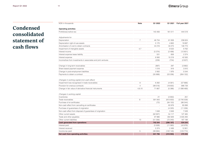## Condensed consolidated statement of cash flows

| NOK in thousands                                                                                | <b>Note</b>    | Q1 2022        | Q1 2021   | Full year 2021 |
|-------------------------------------------------------------------------------------------------|----------------|----------------|-----------|----------------|
| <b>Operating activities</b>                                                                     |                |                |           |                |
| Profit/(loss) before tax                                                                        |                | 143 456        | 161 011   | 444 519        |
| Adjustments for:                                                                                |                |                |           |                |
| Depreciation                                                                                    | $\overline{7}$ | 46734          | 61838     | 236 624        |
| Depreciation right-of-use assets                                                                |                | 5 1 7 0        | 4 6 6 3   | 19 687         |
| Amortisation of cost to obtain contracts                                                        |                | 44 216         | 33 273    | 146 773        |
| Impairment of intangible assets                                                                 | 4,7            |                | 9533      | 9762           |
| Interest income                                                                                 |                | (5374)         | (2499)    | (12801)        |
| Interest expense lease liability                                                                |                | 531            | 658       | 2 3 7 4        |
| Interest expense                                                                                |                | 6 0 6 0        | 10 219    | 42 583         |
| Income/loss from investments in associates and joint ventures                                   |                | (239)          | (734)     | (2637)         |
| Change in long-term receivables                                                                 |                | (897)          | 297       | (3882)         |
| Share based payment expense                                                                     |                | 1018           | 919       | 3910           |
| Change in post-employment liabilities                                                           |                | 2062           | 1976      | 5 5 4 4        |
| Payments to obtain a contract                                                                   |                | (55888)        | (53 206)  | (264 152)      |
| Changes in working capital (non-cash effect)<br>Impairment loss recognised in trade receivables | 8              | 6 2 8 2        | (4581)    | (57666)        |
| Provision for onerous contracts                                                                 | $\overline{4}$ | (99516)        | (18655)   | 996 739        |
| Change in fair value of derivative financial instruments                                        | 4,9,10         | 71 667         | (5388)    | (1088469)      |
|                                                                                                 |                |                |           |                |
| Changes in working capital                                                                      |                |                |           |                |
| Inventories                                                                                     |                | 21             | (3850)    | 251            |
| Trade receivables                                                                               | 8              | 591 843        | (813933)  | (3740539)      |
| Purchase of el-certificates                                                                     |                | (72)           | (84153)   | (86044)        |
| Non-cash effect from cancelling el-certificates                                                 |                | $\overline{a}$ | 83 978    | 85 898         |
| Purchase of guarantees of origination                                                           |                |                | (4320)    | (11206)        |
| Non-cash effect from disposal of guarantees of origination                                      |                | 1648           | 3949      | 7 0 28         |
| Other current assets                                                                            |                | (62907)        | 54 117    | 127 465        |
| Trade and other payables                                                                        |                | 97 886         | 350 929   | 3 505 284      |
| Other current liabilities                                                                       | 13             | (51356)        | (72240)   | 167 198        |
| <b>Cash generated from operations</b>                                                           |                | 742 344        | (286 197) | 534 244        |
| Interest paid                                                                                   |                | (5928)         | (11060)   | (43978)        |
| Interest received                                                                               |                | 5 3 7 4        | 2 4 9 9   | 12 801         |
| Income tax paid                                                                                 | 5              | (99994)        | (122145)  | (123 774)      |
| Net cash from operating activities                                                              |                | 641796         | (416903)  | 379 293        |
|                                                                                                 |                |                |           |                |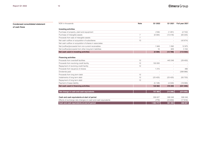**Condensed consolidated statement of cash flows**

| NOK in thousands                                              | <b>Note</b>    | Q1 2022   | Q1 2021  | Full year 2021 |
|---------------------------------------------------------------|----------------|-----------|----------|----------------|
| <b>Investing activities</b>                                   |                |           |          |                |
| Purchase of property, plant and equipment                     |                | (159)     | (1291)   | (2742)         |
| Purchase of intangible assets                                 | $\overline{7}$ | (8394)    | (13418)  | (83 225)       |
| Proceeds from sale of intangible assets                       | $\overline{7}$ |           |          |                |
| Net cash outflow on acquisition of subsidiares                | 13             |           |          | (42674)        |
| Net cash outflow on acquisition of shares in associates       |                |           |          |                |
| Net (outflow)/proceeds from non-current receivables           |                | 1949      | 1 0 9 2  | 12 975         |
| Net (outflow)/proceeds from other long-term liabilities       |                | 16        | 829      | 3 1 6 4        |
| Net cash used in investing activities                         |                | (6589)    | (12788)  | (112 502)      |
|                                                               |                |           |          |                |
| <b>Financing activities</b>                                   |                |           |          |                |
| Proceeds from overdraft facilities                            | 12             |           | 443 248  | (29, 400)      |
| Proceeds from revolving credit facility                       | 12             | 150 000   |          |                |
| Repayment of revolving credit facility                        | 12             |           |          |                |
| Proceeds from issuance of shares                              |                | 1 2 1 5   |          | 486            |
| Dividends paid                                                |                |           |          | (399986)       |
| Proceeds from long term debt                                  | 12             |           |          |                |
| Instalments of long term debt                                 | 12             | (23 425)  | (23 425) | $(93\ 700)$    |
| Repayment of long term debt                                   | 12             |           |          |                |
| Payment of lease liability                                    |                | (5128)    | (4530)   | (19095)        |
| Net cash used in financing activities                         |                | 122 662   | 415 293  | (541696)       |
|                                                               |                |           |          |                |
| Net change in cash and cash equivalents                       |                | 757 869   | (14398)  | (274905)       |
| Cash and cash equivalents at start of period                  |                | 306 627   | 599 348  | 599 348        |
| Effects of exchange rate changes on cash and cash equivalents |                | (779)     | (23859)  | (17816)        |
| Cash and cash equivalents at end of period                    |                | 1 063 717 | 561 092  | 306 627        |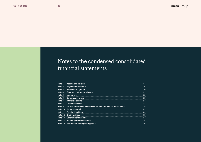## Notes to the condensed consolidated financial statements

| Note 1  | <b>Accounting policies</b>                                      |    |
|---------|-----------------------------------------------------------------|----|
| Note 2  | <b>Segment information</b>                                      | 16 |
| Note 3  | <b>Revenue recognition</b>                                      | 20 |
| Note 4  | <b>Onerous contract provisions</b>                              | 21 |
| Note 5  | Income tax                                                      | 23 |
| Note 6  | <b>Earnings per share</b>                                       | 23 |
| Note 7  | Intangible assets                                               | 24 |
| Note 8  | Trade receivables                                               | 27 |
| Note 9  | Derivatives and fair value measurement of financial instruments | 28 |
| Note 10 | <b>Hedge accounting</b>                                         | 31 |
| Note 11 | <b>Pension liabilities</b>                                      | 32 |
|         | Note 12 Credit facilities                                       | 33 |
| Note 13 | <b>Other current liabilities</b>                                | 34 |
|         | Note 14 Related party transactions                              | 35 |
| Note 15 | Events after the reporting period                               | 36 |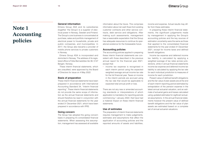## Note 1 Accounting policies

## **General information**

Elmera Group ASA and its subsidiaries (together 'the Group') is a supplier of electrical power in Norway, Sweden and Finland. The Group's core business is concentrated at purchase, sales and portfolio management of electrical power to households, private and public companies, and municipalities. In 2017, the Group also became a provider of mobile phone services to private customers in Norway.

Elmera Group ASA is incorporated and domiciled in Norway. The address of its registered office is Folke Bernadottes Vei 38, 5147 Bergen, Norway.

These interim financial statements, which are unaudited, were approved by the Board of Directors for issue on 4 May 2022.

## **Basis of preparation**

These interim financial statements have been prepared in accordance with International Accounting Standard 34, "Interim financial reporting". These interim financial statements do not provide the same scope of information as the annual financial statements and should therefore be read in conjunction with the annual financial statements for the year ended 31 December 2021, which have been prepared in accordance with IFRS.

### **Going concern**

The Group has adopted the going concern basis in preparing it's consolidated financial statements. When assessing this assumption, management has assessed all available information about the future. This comprises information about net cash flows from existing customer contracts and other service contracts, debt service and obligations. After making such assessments, management has a reasonable expectation that the Group has adequate resources to continue its operational existence for the foreseeable future.

### **Accounting policies**

The accounting policies applied in preparing these interim financial statements are consistent with those described in the previous annual report for the financial year 2021. except that:

**•** income tax expense is recognised in each interim period using the expected weighted average annual income tax rate for the full financial year. Taxes on income in the interim periods are accrued using the tax rate that would be applicable to expected total annual profit or loss.

There are not any new or amended accounting standards or interpretations of which application is mandatory for reporting periods commencing 1 January 2022, that have had a material impact on these interim financial **statements** 

### **Use of estimates**

The preparation of interim financial statements requires management to make judgements, estimates and assumptions that affect the application of accounting policies and the reported amounts of assets and liabilities,

income and expense. Actual results may differ from these estimates.

In preparing these interim financial statements, the significant judgements made by management in applying the Group's accounting policies and the key sources of estimation uncertainty were the same as those that applied to the consolidated financial statements for the year ended 31 December 2021, except for income taxes and defined benefit obligations.

Income tax expense and deferred income tax liability is calculated by applying a weighted average of tax rates across jurisdictions, while in annual financial statements income tax expense and deferred income tax liability is calculated by applying the tax rate for each individual jurisdiction to measures of income for each jurisdiction.

Present value of defined benefit obligations and the fair value of plan assets are at the end of each interim reporting period estimated by extrapolation of the pension expense in the latest annual actuarial valuation, and an estimate of actuarial gains and losses calculated using updated estimates for sigificant actuarial assumptions. In the annual financial statements however the present value of defined benefit obligations and the fair value of plan assets are estimated based on a complete set of annual actuarial valuations.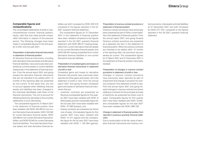## **Comparable figures and reclassifications**

The consolidated statements of profit or loss, comprehensive income, financial position, equity, cash flow and notes provide comparable information in respect of the previous period. The following changes have been made in comparable figures for the first quarter of 2021 and full year 2021:

## *Presentation of derivative financial instruments in statement of financial position*

All derivative financial instruments, including both derivative financial assets and derivative financial liabilities, have previously been presented as currents assets or current liabilities respectively in the statement of financial position. From the annual report 2021 and going forward the derivative financial instruments that are not intended to be settled within 12 months of the reporting date are presented as non-current. At the same time, the unit of account applied when offsetting financial assets and liabilities has been changed to the individual identifiable cash flows of the financial instruments. The unit of account for offsetting Electricity derivaties is thus monthly settlements of such derivatives.

The comparative figures for 31 March 2021 in the statement of financial position have been restated, with NOKt 160 460 for non-current Derivative financial assets, NOKt 183 563 for current Derivative financial assets, NOKt 203 286 for non-current Derivative financial liabilities, and NOKt 55 945 for current Derivative financial liabilities. Thus total derivative financial assets and total derivative financial liabilities are both increased by NOKt 205 510 compared to the figures reported in the Q1 2021 quarterly financial statement.

The comparative figures for 31 December 2021 in the statement of financial position have been restated compared to the figures reported in the Q4 2021 quarterly financial statement, with NOKt 365 611 beeing reclassified from current Derivative financial assets to non-current Derivative financial assets, and NOKt 238 481 beeing reclassified from current Derivative financial liabilities to non-current Derivative financial liabilities.

## *Presentation of unrealised gains and losses on derivative financial instruments in statement of profit or loss*

Unrealised gains and losses on derivative financial instruments have previously been reported as Other gains and losses, net in the statement of profit or loss. From the annual report 2021 and going forward unrealised gains and losses on derivative financial instruments that are

- **•** customer contracts are presented as Revenue (comparable figures for first quarter 2021 have been restated with NOKt -8 083 (losses) and the comparable figure for the full year 2021 have been restated with NOKt -37 596 (losses)), and
- **•** heding contracts are presented as Direct cost of sales. (Comparable figures for first quarter 2021 have been restated with NOKt 13 471 (gains) and the comparable figure for the full year 2021 have been restated with NOKt 1 126 064 (gains)).

## *Presentation of onerous contract provisions in statement of financial position*

Onerous contract provisions have previously been presented as part of Other current liabilities in the statement of financial position. From the annual report 2021 and going forward Onerous contract provisions are presented as a seperate line item in the statement of financial position. When the onerous contracts are intended to be settled within 12 months of the reporting date, the provisions are presented as current. The comparative figures for 31 March 2021 and 31 December 2021 in the statement of financial position have been restated.

## *Presentation of changes in onerous contract provisions in statement of profit or loss*

Changes in onerous contract provisions have previously been reported as part of Impairment and change in provision for onerous contracts in the statement of profit or loss. From the annual report 2021 and going forward changes in onerous contract provisions relating to contracts for the purchase and sale of electricity are presented as Direct cost of sales. Comparable figures for first quarter 2021 have been restated with NOKt 18 655, and comparable figures for full year 2021 have been restated with NOKt -996 739.

## *Change in statement of financial position from reported in previous quarterly financial statement*

Due to recalculation of the fair value of derivative financial instruments and onerous contract provisions, total assets and total liabilities at 31 December 2021 are both increased by NOKt 577 078, compared to the figures reported in the Q4 2021 quarterly financial statement.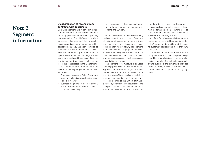### **Report Q1 2022 16**

## Note 2 Segment information

## **Disaggregation of revenue from contracts with customers**

Operating segments are reported in a manner consistent with the internal financial reporting provided to the chief operating decision-maker. The chief operating decision maker, who is responsible for allocating resources and assessing performance of the operating segments, has been identified as the Board of Directors. The Board of Directors examines the Group's performance from a type of services perspective. Segment performance is evaluated based on profit or loss and is measured consistently with profit or loss in the consolidated financial statements.

The Group's reportable segments under IFRS 8 - "Operating Segments" are therefore as follows:

- **•** Consumer segment Sale of electrical power and related services to private consumers in Norway
- **•** Business segment Sale of electrical power and related services to business consumers in Norway

**•** Nordic segment - Sale of electrical power and related services to consumers in Finland and Sweden.

Information reported to the chief operating decision maker for the purposes of resource allocation and assessment of segment performance is focused on the category of customer for each type of activity. No operating segments have been aggregated in arriving at the reportable segments of the Group. The principal categories of customers are direct sales to private consumers, business consumers and alliance partners.

 The segment profit measure is adjusted operating profit which is defined as operating profit earned by each segment without the allocation of: acquisition related costs and other one-off items, estimate deviations from previous periods, unrealised gains and losses on derivatives, impairment of intangible assets, depreciation of acquisitions, and change in provisions for onerous contracts. This is the measure reported to the chief operating decision maker for the purposes of resource allocation and assessment of segment performance. The accounting policies of the reportable segments are the same as the Group's accounting policies.

 All of the Group's revenue is from external parties and is from activities currently carried out in Norway, Sweden and Finland. There are no customers representing more than 10% of revenue.

The tables below is an analysis of the Group's revenue and profit by reportable segment. New growth initiatives comprise of other business activities (sale of mobile service to private customers and power sale, included related services, to Alliance Partners) which are not considered separate operating segments.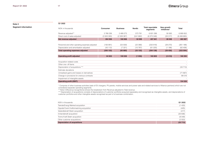**Q1 2022**

### **Note 2**

**Segment information**

| NOK in thousands                                | <b>Consumer</b> | <b>Business</b> | <b>Nordic</b> | <b>Total reportable</b><br>segments | New growth<br>initiatives* | <b>Total</b> |
|-------------------------------------------------|-----------------|-----------------|---------------|-------------------------------------|----------------------------|--------------|
| Revenue adjusted**                              | 3 768 236       | 2 489 273       | 573 781       | 6831289                             | 59 363                     | 6890652      |
| Direct cost of sales adjusted                   | (3503300)       | (2328367)       | (541682)      | (6373348)                           | (33317)                    | (6406665)    |
| Net revenue adjusted                            | 264 936         | 160 906         | 32 099        | 457 941                             | 26 046                     | 483 987      |
|                                                 |                 |                 |               |                                     |                            |              |
| Personnel and other operating expenses adjusted | (156 991)       | (53 559)        | (22368)       | (232918)                            | (28 270)                   | (261 188)    |
| Depreciation and amortisation adjusted          | (43112)         | (7321)          | (10787)       | (61 220)                            | (1186)                     | (62, 406)    |
| <b>Total operating expenses adjusted</b>        | (200103)        | (60 880)        | (33155)       | (294138)                            | (29 456)                   | (323 594)    |
|                                                 |                 |                 |               |                                     |                            |              |
| <b>Operating profit adjusted</b>                | 64 833          | 100 026         | (1056)        | 163 803                             | (3410)                     | 160 393      |
|                                                 |                 |                 |               |                                     |                            |              |
| Acquisition related costs                       |                 |                 |               |                                     |                            |              |
| Other one- off items                            |                 |                 |               |                                     |                            |              |
| Depreciation of acquisitions ***                |                 |                 |               |                                     |                            | (33713)      |
| Estimate deviations                             |                 |                 |               |                                     |                            |              |
| Unrealised gains and losses on derivatives      |                 |                 |               |                                     |                            | (71667)      |
| Change in provisions for onerous contracts      |                 |                 |               |                                     |                            | 99 516       |
| Impairment of intangible assets                 |                 |                 |               |                                     |                            |              |
| <b>Operating profit (EBIT)</b>                  |                 |                 |               |                                     |                            | 154 528      |
|                                                 |                 |                 |               |                                     |                            |              |

\* Comprise of other business activities (sale of EV chargers, PV panels, mobile services and power sale and related services to Alliance partners) which are not considered separate operating segments.

\*\* Note 3 (Revenue recognitions) shows the breakdown from Revenue adjusted to Total revenue.

\*\*\* Depreciation of acquisitions consists of depreciations of customer portfolios acquired separately and recognised as intangible assets, and depreciations of customer portfolios and other intangible assets recognised as part of a business combination.

| NOK in thousands                        | Q1 2022 |
|-----------------------------------------|---------|
| TrønderEnergi Marked acquisition        | (1433)  |
| Oppdal Everk Kraftomsetning acquisition | (425)   |
| Vesterålskraft Strøm acquisition        | (417)   |
| Innlandskraft acquisition               | (20836) |
| Troms Kraft Strøm acquisition           | (8049)  |
| Other customer acquisitions             | (2553)  |
| <b>Depreciation of acquisitions</b>     | (33713) |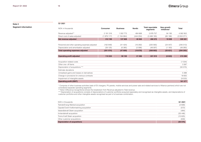**Q1 2021**

### **Note 2**

**Segment information**

| NOK in thousands                                | <b>Consumer</b> | <b>Business</b> | <b>Nordic</b> | <b>Total reportable</b><br>segments | New growth<br>initiatives* | Total     |
|-------------------------------------------------|-----------------|-----------------|---------------|-------------------------------------|----------------------------|-----------|
| Revenue adjusted**                              | 2 191 316       | 1 302 773       | 484 668       | 3978757                             | 84 195                     | 4 062 952 |
| Direct cost of sales adjusted                   | (1879117)       | (1164864)       | (444204)      | (3488185)                           | (65186)                    | (3553371) |
| Net revenue adjusted                            | 312 199         | 137 909         | 40 4 64       | 490 572                             | 19 009                     | 509 581   |
|                                                 |                 |                 |               |                                     |                            |           |
| Personnel and other operating expenses adjusted | (162 849)       | (41424)         | (16292)       | (220 565)                           | (24447)                    | (245013)  |
| Depreciation and amortisation adjusted          | (39125)         | (6385)          | (2586)        | (48097)                             | (1183)                     | (49 280)  |
| <b>Total operating expenses adjusted</b>        | (201974)        | (47809)         | (18 878)      | (268662)                            | (25631)                    | (294 293) |
|                                                 |                 |                 |               |                                     |                            |           |
| <b>Operating profit adjusted</b>                | 110 224         | 90 100          | 21 586        | 221 910                             | (6622)                     | 215 288   |
|                                                 |                 |                 |               |                                     |                            |           |
| Acquisition related costs                       |                 |                 |               |                                     |                            | (1034)    |
| Other one- off items                            |                 |                 |               |                                     |                            | 3 3 8 7   |
| Depreciation of acquisitions ***                |                 |                 |               |                                     |                            | (50 575)  |
| Estimate deviations                             |                 |                 |               |                                     |                            |           |
| Unrealised gains and losses on derivatives      |                 |                 |               |                                     |                            | 5 3 8 8   |
| Change in provisions for onerous contracts      |                 |                 |               |                                     |                            | 18 655    |
| Impairment of intangible assets                 |                 |                 |               |                                     |                            | (9533)    |
| <b>Operating profit (EBIT)</b>                  |                 |                 |               |                                     |                            | 181 577   |

\* Comprise of other business activities (sale of EV chargers, PV panels, mobile services and power sale and related services to Alliance partners) which are not considered separate operating segments.

\*\* Note 3 (Revenue recognitions) shows the breakdown from Revenue adjusted to Total revenue.

\*\*\* Depreciation of acquisitions consists of depreciations of customer portfolios acquired seperately and recognised as intangible assets, and depreciations of customer portfolios and other intangible assets recognised as part of a business combination.

| NOK in thousands                        | Q1 2021  |
|-----------------------------------------|----------|
| TrønderEnergi Marked acquisition        | (2608)   |
| Oppdal Everk Kraftomsetning acquisition | (572)    |
| Vesterålskraft Strøm acquisition        | (484)    |
| Innlandskraft acquisition               | (35446)  |
| Troms Kraft Strøm acquisition           | (10625)  |
| Other customer acquisitions             | (839)    |
| <b>Depreciation of acquisitions</b>     | (50 575) |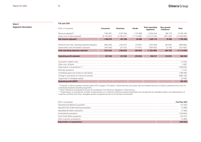**Full year 2021**

**Note 2** 

**Segment information**

## NOK in thousands **Consumer Business Nordic Total reportable segments New growth initiatives\* Total** Revenue adjusted\*\* 7 802 881 5 257 664 1 773 888 14 834 434 365 732 15 200 165 Direct cost of sales adjusted (6 704 802) (4 796 617) (1 710 899) (13 212 318) (287 350) (13 499 669) **Net revenue adjusted 1 098 079 461 048 62 989 1 622 116 78 382 1 700 496**  Personnel and other operating expenses adjusted (586 248) (159 441) (70 661) (816 349) (83 634) (899 993) Depreciation and amortisation adjusted (164 206) (27 213) (17 931) (209 350) (5 105) (214 455) Total operating expenses adjusted (750 454) (186 654) (88 592) (1 025 699) (88 740) (1 114 448) **Operating profit adjusted 347 625 274 394 (25 603) 596 417 (10 357) 586 048**  Acquisition related costs (1 034) Other one- off items 3 387 Depreciation of acquisitions \*\*\* (188 629) Estimate deviations 11 515 Unrealised gains and losses on derivatives 1 088 469 Change in provisions for onerous contracts (996 739) Impairment of intangible assets (9 762) **Operating profit (EBIT) 493 256**

\* Comprise of other business activities (sale of EV chargers, PV panels, mobile services and power sale and related services to Alliance partners) which are not considered separate operating segments.

\*\* Note 3 (Revenue recognitions) shows the breakdown from Revenue adjusted to Total revenue.

\*\*\* Depreciation of acquisitions consists of depreciations of customer portfolios acquired separately and recognised as intangible assets, and depreciations of customer portfolios and other intangible assets recognised as part of a business combination.

| NOK in thousands                        | Full Year 2021 |
|-----------------------------------------|----------------|
| TrønderEnergi Marked acquisition        | (10434)        |
| Oppdal Everk Kraftomsetning acquisition | (2289)         |
| Vesterålskraft Strøm acquisition        | (1936)         |
| Innlandskraft acquisition               | (128650)       |
| Troms Kraft Strøm acquisition           | (42031)        |
| Other customer acquisitions             | (3289)         |
| <b>Depreciation of acquisitions</b>     | (188629)       |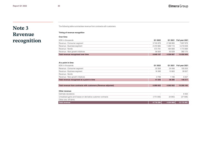## Note 3 Revenue recognition

The following table summarises revenue from contracts with customers:

## **Timing of revenue recognition**

### **Over time:**

| NOK in thousands                   | Q1 2022   | Q1 2021     | Full year 2021 |
|------------------------------------|-----------|-------------|----------------|
| Revenue - Consumer segment         | 3745878   | 2 166 860   | 7697878        |
| Revenue - Business segment         | 2472885   | 1 292 110   | 5 219 008      |
| Revenue - Nordic                   | 573781    | 484 668     | 1773888        |
| Revenue - New growth initiatives   | 56 564    | 83 0 29     | 360 175        |
| Total revenue recognised over time | 6 849 107 | 4 0 26 6 67 | 15 050 949     |

## **At a point in time:**

| NOK in thousands                                               | Q1 2022   | Q1 2021     | Full year 2021 |
|----------------------------------------------------------------|-----------|-------------|----------------|
| Revenue - Consumer segment                                     | 22 358    | 24 45 6     | 105 003        |
| Revenue - Business segment                                     | 16 388    | 10 663      | 38 657         |
| Revenue - Nordic                                               | ٠         |             |                |
| Revenue - New growth initiatives                               | 2799      | 1 1 6 6     | 5 5 5 7        |
| Total revenue recognised at a point in time                    | 41 545    | 36 285      | 149 217        |
|                                                                |           |             |                |
| Total revenue from contracts with customers (Revenue adjusted) | 6 890 652 | 4 062 952   | 15 200 165     |
|                                                                |           |             |                |
| Other revenue:                                                 |           |             |                |
| Estimate deviations                                            | ٠         |             | 8 4 2 2        |
| Unrealised gains and losses on derivative customer contracts   | (172356)  | (8083)      | (37596)        |
| Other one- off items                                           |           |             |                |
| <b>Total revenue</b>                                           | 6718296   | 4 0 54 8 69 | 15 170 991     |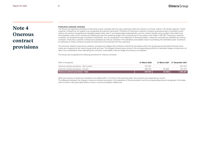## Note 4 **Onerous** contract provisions

#### **Fixed price customer contracts**

The Group has significant portfolios of fixed price power contracts with end user customers where the volume is not fixed, mainly in the Nordic segment. These customer contracts do not qualify to be recognised as financial instruments. Portfolios of Fixed price customer contracts acquired as part of business combinations are however recognised as intangible assets (refer note 7), and depreciated systematically over the contract lengths using a pattern that reflect how the acquisition value of the contracts are distributed over the remaining length of the contracts (up to five years) (cost model in IAS 38). Fixed price customer contracts, not acquired through a business combination, are not recognised in the statement of financial position, unless the contracts are identified as onerous contracts. Fixed price customer contracts are assessed as onerous contracts if the estimated unavoidable costs of purchasing the estimated power volumes to be delivered on these contracts exceed the fixed price to be received from the costumers.

The price risk related to fixed price customer contracts are hedged with portfolios of electricity derivatives which are recognised as derivative financial instruments and measured at fair value through profit and loss. The hedged forward power prices in the corresponding portfolios of derivative hedge contracts are not taken into consideration when estimating the contracts' unavoidable costs as hedge accounting is not applied.

The Group has recognised the following provisions for onerous contracts:

| NOK in thousands                          | 31 March 2022 |        | 31 March 2021 31 December 2021 |
|-------------------------------------------|---------------|--------|--------------------------------|
| Onerous contract provisions - Non-current | 347 291       |        | 321814                         |
| Onerous contract provisions - Current     | 586 753       | 50.948 | 744 473                        |
| Onerous contract provisions - Total       | 934 044       | 50 948 | 1 066 287                      |

When the onerous contracts are intended to be settled within 12 months of the reporting date, the provisions are presented as current.

The difference between the change in onerous contracts provisions in the statement of financial position and the corresponding amount recognised in the statement of profit or loss (see table below) is due to currency translation differences.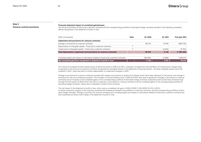## **Note 4**

**Onerous contract provisions**

#### **Financial statement impact of unrealised gains/losses:**

The Group's portfolios of fixed price customer contracts and the corresponding portfolios of derivative hedge contracts resulted in the following unrealised effects recognised in the statement of profit or loss:

| NOK in thousands                                                                     | <b>Note</b> | Q1 2022                  | Q1 2021 | Full year 2021 |
|--------------------------------------------------------------------------------------|-------------|--------------------------|---------|----------------|
| Impairment and provisions for onerous contracts:                                     |             |                          |         |                |
| Change in provisions for onerous contracts                                           |             | 99 516                   | 18 655  | (996 739)      |
| Depreciation of intangible assets - Fixed price customer contracts                   |             | -                        |         |                |
| Impairment of intangible assets - Fixed price customer contracts                     |             | $\overline{\phantom{a}}$ | (9533)  | (9762)         |
| Total depreciation, impairment and provisions for onerous contracts:                 |             | 99 516                   | 9 1 2 2 | (1006500)      |
|                                                                                      |             |                          |         |                |
| Unrealised gains and losses on derivatives related to fixed price customer contracts |             | (96356)                  | (4885)  | 029 510        |
| Net unrealised gain/loss recognised in statement of profit or loss                   |             | 3 1 6 0                  | 4 2 3 7 | 23 010         |

As a result of increased forward market prices of electrical power in 2020 and 2021, indicators of impairment was identified, and impairment charges were recognised to the fixed price customer contracts recognised as intangible assets in the statement of financial position. As these intangible assets were fully impaired in 2021, there has been no further depreciation or impairment charges in 2022.

Change in provisions for onerous contracts includes both release of provisions for (parts of) contracts which have been delivered in the period, and change in provisions for new and remaining contracts. The increase in forward market prices in 2020 and 2021 also lead to significant changes in provisions for onerous contracts and an increase in the unrealised gains on the corresponding portfolios of derivative hedge contracts. Expected power prices have remained high through the first quarter of 2022 which has led to a reduction in provisions for onerous contracts and the unrealised gains on the corresponding portfolios of derivative hedge contracts, mainly due to realisation of parts of the contracts.

The net impact in the statement of profit or loss, which was an unrealised net gain in 2022 of NOKt 3 160 (NOKt 23 010 in 2021) is mainly caused by margins in the customer contracts and imbalance between the portfolios of customer contracts, and the corresponding portfolios of derivative hedge contracts. Change in provision for onerous contracts and unrealised gains and losses on derivatives related to fixed price customer contracts are both presented as Direct cost of sales in the statement of profit or loss.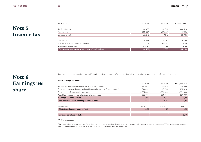## Note 5 Income tax

| NOK in thousands                                      | Q1 2022  | Q1 2021 | Full year 2021 |
|-------------------------------------------------------|----------|---------|----------------|
| Profit before tax                                     | 143 456  | 161 011 | 444 519        |
| Tax expense                                           | (33 409) | (27368) | (102 150)      |
| Average tax rate                                      | 23.3 %   | 17.0%   | 23.0 %         |
| Tax payable                                           | 39 335   | 28 960  | 108 400        |
| Adjustments to prior years tax payable                |          | (4914)  | (4968)         |
| Change in deferred tax                                | (5926)   | 3 3 2 2 | (1282)         |
| Tax expense recognised in statement of profit or loss | 33 409   | 27 368  | 102 150        |

Earnings per share is calculated as profit/loss allocated to shareholders for the year divided by the weighted average number of outstanding shares.

## Note 6 Earnings per share

**Basic earnings per share**

|                                                                            | Q1 2022     | Q1 2021     | Full year 2021 |
|----------------------------------------------------------------------------|-------------|-------------|----------------|
| Profit/(loss) attributable to equity holders of the company *              | 110 047     | 133 643     | 342 369        |
| Total comprehensive income attributable to equity holders of the company * | 244 312     | 115 706     | 232 026        |
| Total number of ordinary shares in issue                                   | 114 351 800 | 114 281 800 | 114 301 800    |
| Weighted average number of ordinary shares in issue                        | 114 322 587 | 114 281 800 | 114 291 767    |
| Earnings per share in NOK                                                  | 0,96        | 1,17        | 3,00           |
| Total comprehensive income per share in NOK                                | 2,14        | 1,01        | 2,03           |
|                                                                            |             |             |                |
| Share options                                                              | 820 000     | 520 000     | 500 000        |
| Diluted earnings per share in NOK                                          | 0,95        | 1,15        | 2,96           |
|                                                                            |             |             |                |
| Dividend per share in NOK                                                  |             |             | 3,50           |
|                                                                            |             |             |                |

*\*NOK in thousands*

The change in share options from December 2021 is due to extention of the share option program with one extra year (a total of 370 000 new share options) and vesting period after fourth quarter where a total of 50 000 share options were exercised.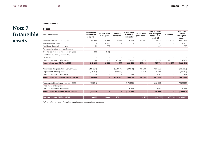#### **Intangible assets**

## Note 7 Intangible assets

| $\sim$ | <br>$\sim$<br>$\sim$<br>. . | <br>۰.<br>×<br>$\sim$<br>×<br>., |
|--------|-----------------------------|----------------------------------|
|        |                             |                                  |
|        |                             |                                  |
|        |                             |                                  |

| NOK in thousands                              | Software and<br>development<br>projects | <b>Construction</b><br>in progress | <b>Customer</b><br>portfolios | <b>Fixed price</b><br>customer<br>contracts* | Other intan-<br>gible assets | Total non-cur-<br>rent intangible<br>assets, excl.<br>goodwill | Goodwill                 | Total non-<br>current<br>intangible<br>assets |
|-----------------------------------------------|-----------------------------------------|------------------------------------|-------------------------------|----------------------------------------------|------------------------------|----------------------------------------------------------------|--------------------------|-----------------------------------------------|
| Accumulated cost 1 January 2022               | 345 582                                 | 5 3 3 9                            | 796 218                       | 229 668                                      | 145 607                      | 1522414                                                        | 1 4 1 9 4 5 1            | 2941866                                       |
| Additions - Purchase                          | ٠                                       | 8 1 0 3                            | $\overline{4}$                |                                              |                              | 8 107                                                          | ٠                        | 8 107                                         |
| Additions - Internally generated              | 61                                      | 226                                | $\sim$                        |                                              |                              | 287                                                            | ÷                        | 287                                           |
| Additions from business combinations          | ÷,                                      | $\sim$                             | $\sim$                        |                                              | $\sim$                       |                                                                | $\sim$                   | <b>Single</b>                                 |
| Transferred from construction in progress     | 242                                     | (242)                              |                               |                                              |                              |                                                                |                          |                                               |
| Government grants (SkatteFUNN)                | $\sim$                                  |                                    |                               |                                              |                              |                                                                |                          |                                               |
| <b>Disposals</b>                              |                                         |                                    |                               |                                              |                              |                                                                |                          |                                               |
| Currency translation differences              | (62)                                    | (63)                               | (6966)                        | (7200)                                       | (739)                        | (15029)                                                        | (9717)                   | (24747)                                       |
| <b>Accumulated cost 31 March 2022</b>         | 345 824                                 | 13 3 63                            | 789 256                       | 222 468                                      | 144 868                      | 1 515 779                                                      | 1 409 733                | 2925513                                       |
| Accumulated depreciation 1 January 2022       | (221534)                                |                                    | (321346)                      | (49842)                                      | (32514)                      | (625 236)                                                      | ٠                        | (625 237)                                     |
| Depreciation for the period                   | (12180)                                 | $\sim$                             | (31582)                       |                                              | (2 225)                      | (45987)                                                        | $\overline{\phantom{a}}$ | (45987)                                       |
| Currency translation differences              | (13)                                    |                                    | 1643                          | 1 6 3 2                                      |                              | 3 2 6 2                                                        | $\sim$                   | 3 2 6 2                                       |
| <b>Accumulated depreciation 31 March 2022</b> | (233 727)                               |                                    | (351 285)                     | (48210)                                      | (34739)                      | (667961)                                                       | ٠                        | (667962)                                      |
| Accumulated impairment 1 January 2022         | (22724)                                 |                                    | $\overline{\phantom{a}}$      | (179826)                                     | $\sim$                       | (202 550)                                                      | $\overline{\phantom{a}}$ | (202550)                                      |
| Impairment for the period *                   |                                         |                                    | $\sim$                        |                                              |                              |                                                                | $\overline{a}$           |                                               |
| Currency translation differences              |                                         |                                    | $\sim$                        | 5 5 6 8                                      |                              | 5568                                                           | $\sim$                   | 5 5 6 8                                       |
| <b>Accumulated impairment 31 March 2022</b>   | (22724)                                 |                                    | ×.                            | (174258)                                     | ×.                           | (196982)                                                       | ٠.                       | (196982)                                      |
| <b>Carrying amount 31 March 2022</b>          | 89 375                                  | 13 3 63                            | 437 971                       | ٠                                            | 110 129                      | 650 837                                                        | 1 409 733                | 2 060 571                                     |

*\* Refer note 4 for more information regarding fixed price customer contracts.*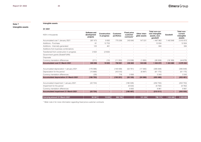**Intangible assets**

## **Note 7**

**Intangible assets**

| Q1 2021                                       |                                         |                             |                               |                                              |                              |                                                                |                |                                               |
|-----------------------------------------------|-----------------------------------------|-----------------------------|-------------------------------|----------------------------------------------|------------------------------|----------------------------------------------------------------|----------------|-----------------------------------------------|
| NOK in thousands                              | Software and<br>development<br>projects | Construction<br>in progress | <b>Customer</b><br>portfolios | <b>Fixed price</b><br>customer<br>contracts* | Other intan-<br>qible assets | Total non-cur-<br>rent intangible<br>assets, excl.<br>goodwill | Goodwill       | Total non-<br>current<br>intangible<br>assets |
| Accumulated cost 1 January 2021               | 297 473                                 | 9063                        | 770 256                       | 243 640                                      | 147 531                      | 1467963                                                        | 1 442 849      | 2910813                                       |
| Additions - Purchase                          | 81                                      | 12753                       |                               |                                              | ٠                            | 12834                                                          |                | 12 8 34                                       |
| Additions - Internally generated              | 123                                     | 461                         |                               |                                              |                              | 584                                                            |                | 584                                           |
| Additions from business combinations          |                                         | $\sim$                      |                               |                                              | $\sim$                       |                                                                |                |                                               |
| Transferred from construction in progress     | 2632                                    | (2632)                      |                               |                                              |                              |                                                                |                |                                               |
| Government grants (SkatteFUNN)                |                                         | $\sim$                      |                               |                                              |                              |                                                                |                |                                               |
| <b>Disposals</b>                              |                                         |                             |                               |                                              |                              |                                                                |                |                                               |
| Currency translation differences              | (211)                                   | (10)                        | (11355)                       | (13038)                                      | (1895)                       | (26509)                                                        | (18169)        | (44678)                                       |
| <b>Accumulated cost 31 March 2021</b>         | 300 098                                 | 19 635                      | 758 901                       | 230 602                                      | 145 636                      | 1 454 872                                                      | 1424 680       | 2879552                                       |
|                                               |                                         |                             |                               |                                              |                              |                                                                |                |                                               |
| Accumulated depreciation 1 January 2021       | (176096)                                | $\overline{\phantom{a}}$    | (149408)                      | (52761)                                      | (17383)                      | (395648)                                                       |                | (395649)                                      |
| Depreciation for the period                   | (10668)                                 | $\sim$                      | (43510)                       |                                              | (6997)                       | (61175)                                                        | $\sim$         | (61175)                                       |
| Currency translation differences              | (29)                                    | $\overline{\phantom{a}}$    | 716                           | 2656                                         |                              | 3 3 4 3                                                        |                | 3 3 4 3                                       |
| <b>Accumulated depreciation 31 March 2021</b> | (186 793)                               | $\sim$                      | (192 201)                     | (50105)                                      | (24380)                      | (453 480)                                                      | $\sim$         | (453 481)                                     |
|                                               |                                         |                             |                               |                                              |                              |                                                                |                |                                               |
| Accumulated impairment 1 January 2021         | (22724)                                 |                             | $\bar{a}$                     | (180026)                                     | $\sim$                       | (202 750)                                                      | $\sim$         | (202750)                                      |
| Impairment for the period                     |                                         |                             | $\overline{\phantom{a}}$      | (9533)                                       | $\sim$                       | (9762)                                                         | $\sim$         | (9762)                                        |
| Currency translation differences              |                                         |                             | $\overline{\phantom{a}}$      | 9063                                         | $\overline{\phantom{a}}$     | 9961                                                           | $\overline{a}$ | 9961                                          |
| <b>Accumulated impairment 31 March 2021</b>   | (22724)                                 | ٠                           | ۰.                            | (180 497)                                    | $\sim$                       | (212 511)                                                      | $\blacksquare$ | (202550)                                      |
| Carrying amount 31 March 2021                 | 90 581                                  | 19 635                      | 566 700                       | $\sim$                                       | 121 256                      | 798 173                                                        | 1 424 680      | 2 2 2 8 5 3                                   |

*\* Refer note 4 for more information regarding fixed price customer contracts.*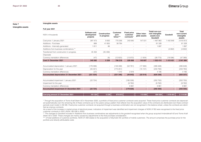## **Note 7**

**Intangible assets**

### **Full year 2021**

**Intangible assets**

| NOK in thousands                                 | Software and<br>development<br>projects | Construction<br>in progress | <b>Customer</b><br>port-<br>folios*** | <b>Fixed price</b><br>customer<br>contracts* | Other intan-<br>qible assets | Totalt non-cur-<br>rent intangible<br>assets excl.<br>Goodwill | Goodwill | Total<br>non-current<br>intangible<br>assets |
|--------------------------------------------------|-----------------------------------------|-----------------------------|---------------------------------------|----------------------------------------------|------------------------------|----------------------------------------------------------------|----------|----------------------------------------------|
| Cost price 1 January 2021                        | 297 473                                 | 9063                        | 770 256                               | 243 640                                      | 147 531                      | 1467963                                                        | 1442849  | 2910813                                      |
| Additions - Purchase                             | 889                                     | 41 655                      | 38 7 84                               | $\sim$                                       | $\sim$                       | 81 328                                                         |          | 81 328                                       |
| Additions - Internally generated                 | 1811                                    | 86                          |                                       |                                              | $\sim$                       | 1897                                                           |          | 1897                                         |
| Additions from business combinations **          |                                         | $\sim$                      |                                       |                                              | $\overline{a}$               | $\sim$                                                         | (4802)   | (4802)                                       |
| Transferred from construction in progress        | 45 45 6                                 | (45456)                     |                                       |                                              |                              |                                                                |          |                                              |
| <b>Disposals</b>                                 |                                         | ٠                           | $\overline{\phantom{a}}$              | $\overline{\phantom{a}}$                     | ٠                            | $\overline{\phantom{a}}$                                       |          |                                              |
| Currency translation differences                 | (47)                                    | (8)                         | (12823)                               | (13972)                                      | (1924)                       | (28 773)                                                       | (18596)  | (47369)                                      |
| Cost 31 December 2021                            | 345 582                                 | 5 3 3 9                     | 796 218                               | 229 668                                      | 145 607                      | 1 522 414                                                      | 1419451  | 2941866                                      |
|                                                  |                                         |                             |                                       |                                              |                              |                                                                |          |                                              |
| Accumulated depreciation 1 January 2021          | (176096)                                | $\overline{\phantom{a}}$    | (149408)                              | (52761)                                      | (17383)                      | (395648)                                                       |          | (395649)                                     |
| Depreciation for the year                        | (45, 401)                               | $\sim$                      | (173251)                              | $\bar{a}$                                    | (15131)                      | (233 783)                                                      | $\sim$   | (233 783)                                    |
| Currency translation differences                 | (37)                                    |                             | 1312                                  | 2919                                         |                              | 4 1 9 5                                                        |          | 4 1 9 5                                      |
| <b>Accumulated depreciation 31 December 2021</b> | (221 534)                               |                             | (321346)                              | (49842)                                      | (32514)                      | (625 236)                                                      | ٠        | (625 237)                                    |
|                                                  |                                         |                             |                                       |                                              |                              |                                                                |          |                                              |
| Accumulated impairment 1 January 2021            | (22724)                                 |                             | $\sim$                                | (180026)                                     | $\sim$                       | (202 750)                                                      |          | (202 750)                                    |
| Impairment for the year                          |                                         |                             | $\sim$                                | (9762)                                       | $\sim$                       | (9762)                                                         | $\sim$   | (9762)                                       |
| Currency translation differences                 |                                         |                             |                                       | 9961                                         |                              | 9961                                                           |          | 9961                                         |
| <b>Accumulated impairment 31 December 2021</b>   | (22724)                                 |                             | ÷.                                    | (179826)                                     | ٠                            | (202550)                                                       | ٠        | (202550)                                     |
|                                                  |                                         |                             |                                       |                                              |                              |                                                                |          |                                              |
| <b>Carrying amount 31 December 2021</b>          | 101 324                                 | 5 3 3 9                     | 474 873                               | ×.                                           | 113 093                      | 694 630                                                        | 1419451  | 2 114 081                                    |

*\* Through the acquisition of Troms Kraft Strøm AS in November 2020, a portfolio of fixed price customer contracts were acquired. These fixed price customer contracts are depreciated systematically over the remaining life of these contracts (up to five years) using a pattern that reflects how the acquisition value of the contracts are distributed over these contract periods (cost model in IAS 38). Fixed price customer contracts not acquired through a business combination are not recognised in the balance sheet, unless the contracts are identified as onerous contracts.* 

*As a result of the increase in market prices of electrical power, indicators of impairment was identified and impairment charges of NOKt 9 762 were recognised to the fixed price customer contracts in 2021 (NOKt 180 026 in 2020).* 

*\*\* The changes to Goodwill included in Additions from business combinations are adjustments to the goodwill recognised when the group acquired Innlandskraft AS and Troms Kraft Strøm AS in 2020. These changes are mainly caused by adjustments to the final purchase consideration.* 

\*\*\* Of total additions of customer portfolios, NOKt 37 348 relates to the acquisition of Skymobil AS' portfolio of mobile customers. The amount comprises the purchase price for the *portfolio and directly attributable costs.*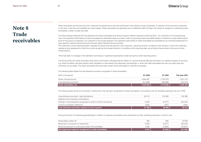## **Elmera** Group

## Note 8 **Trade** receivables

Trade receivables are amounts due from customers for goods sold or services performed in the ordinary course of business. If collection of the amounts is expected in one year or less they are classified as current assets. Trade receivables are generally due for settlement within 30 days. No interest is charged on outstanding trade receivables, unless it is past due date.

The Group always measures the loss allowance for trade receivables at an amount equal to lifetime expected credit loss (ECL). For customers in the business segment, the expected credit losses on trade receivables are estimated using a provision matrix by grouping trade receivables based on reference to past default experience for the group of customers. For customers in the private segment, the expected credit losses on trade receivables are estimated by an individual assessment of each specific customer performed by the Group's Debt Collection Service provider.

The customer's current financial position, adjusted for factors that are specific to the customers', general economic conditions of the industry in which the customers operate and an assessment of both the current as well as the forecast direction of conditions at the reporting date, are all factors that are taken into account when measuring ECL.

There has been no changes in the estimation techniques or significant assumptions made during the current reporting period.

The Group writes off a trade receivable when there is information indicating that the debtor is in severe financial difficulty and there is no realistic prospect of recovery, e.g. when the debtor has been placed under liquidation or has entered into bankruptcy proceedings, or when the trade receivables are over one years past due. whichever occurs earlier. The trade receivables that have been written off are still subject to collection processes.

The following table details the loss allowance provision recognised in trade receivables:

| NOK in thousands         | Q1 2022   | Q1 2021   | Full year 2021 |
|--------------------------|-----------|-----------|----------------|
| Gross nominal amount     | 4694967   | 2 379 079 | 5 301 472      |
| Loss allowance provision | (51268)   | (99096)   | (45213)        |
| Trade receivables, net   | 4 643 699 | 2 279 982 | 5 256 259      |

The following table shows the movement in lifetime ECL that has been recognised for trade receivables in accordance with the simplified approach set out in IFRS:

| Loss allowance provision, opening balance                            | 45 213 | 105 080 | 105 080 |
|----------------------------------------------------------------------|--------|---------|---------|
| Additions from business combinations                                 |        |         |         |
| Change in loss allowance recognised in profit or loss for the period | 6 28 2 | (5677)  | (59543) |
| Currency translation difference                                      | (226)  | (307)   | (324)   |
| Loss allowance provision, balance at end of period                   | 51 268 | 99 096  | 45 213  |

During the period, the following gains/(losses) in relation to impaired receivables were recognised as other operating expenses in profit or loss:

| Net impairment expense recognised on trade receivables | 6 0 4 1 | (8325) | (22348)  |
|--------------------------------------------------------|---------|--------|----------|
| Received payment on previously written off receivables | (705)   | (3632) | (16 651) |
| Movement in provision for impairment                   | 6 2 8 2 | (5677) | (59543)  |
| Receivables written off                                | 464     | 984    | 53 846   |
|                                                        |         |        |          |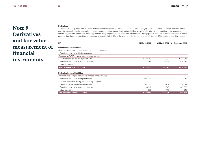## Note 9 Derivatives and fair value measurement of financial instruments

## **Derivatives**

All financial electricity derivatives are either financial customer contracts, or purchased for the purpose of hedging physical or financial customer contracts. Hence derivatives are only used for economic hedging purposes and not as speculative investments. However, where derivatives do not meet the hedge accounting criteria, they are classified as 'held for trading' for accounting purposes and are accounted for at fair value through profit or loss. Derivatives are presented as current assets or liabilities to the extent they are expected to be settled within 12 months after the end of the reporting period. See note 10 for details for cash flow hedges.

| NOK in thousands                                          | 31 March 2022 | 31 March 2021 | 31 December 2021 |
|-----------------------------------------------------------|---------------|---------------|------------------|
| Derivative financial assets                               |               |               |                  |
| Designated as hedging instruments for accounting purposes |               |               |                  |
| Electricity derivatives - Hedge contracts                 | ٠             |               |                  |
| Classified as held for trading for accounting purposes    |               |               |                  |
| Electricity derivatives - Hedge contracts                 | 1588710       | 184 582       | 1451547          |
| Electricity derivatives - Customer contracts              | 1 135 354     | 159 441       | 575 289          |
| Other derivatives                                         | -             |               |                  |
| Total derivative financial assets                         | 2 724 063     | 344 023       | 2 0 2 6 8 3 6    |
| <b>Derivative financial liabilities</b>                   |               |               |                  |
| Designated as hedging instruments for accounting purposes |               |               |                  |
| Electricity derivatives - Hedge contracts                 | (33 329)      |               | 78 962           |
| Classified as held for trading for accounting purposes    |               |               |                  |
| Electricity derivatives - Hedge contracts                 | 387 438       | 145 207       | 320 611          |
| Electricity derivatives - Customer contracts              | 1 283 612     | 112 249       | 557 609          |
| Other derivatives                                         | 1 3 9 6       | 1775          | 1 2 4 5          |
| Total derivative financial liabilities                    | 1639116       | 259 231       | 958 427          |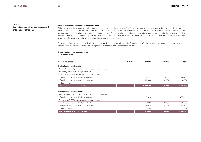**Note 9**

**Derivatives and fair value measurement of financial instruments**

### **Fair value measurements of financial instruments**

This note explains the judgements and estimates made in determining the fair values of the financial instruments that are recognised and measured at fair value in the financial statements. The table below provides details for the Group's financial instruments measured at fair value. The Group also has financial instruments which are not measured at fair value in the statement of financial position. For the majority of these instruments, the fair values are not materially different to their carrying amounts, since the interest receivable/payable is either close to current market rates or the instruments are short-term in nature. There has not been identified any significant difference between fair value and carrying amount at 31 March 2022.

To provide an indication about the reliability of the inputs used in determining fair value, the Group has classified its financial instruments into the three levels prescribed under the accounting standards. An explanation of each level follows underneath the table.

## **Recurring fair value measurements**

**At 31 March 2022**

| NOK in thousands                                          | Level 1                  | Level <sub>2</sub> | Level <sub>3</sub> | <b>Total</b> |
|-----------------------------------------------------------|--------------------------|--------------------|--------------------|--------------|
| Derivative financial assets                               |                          |                    |                    |              |
| Designated as hedging instruments for accounting purposes |                          |                    |                    |              |
| Electricity derivatives - Hedge contracts                 | $\overline{\phantom{a}}$ | $\sim$             |                    |              |
| Classified as held for trading for accounting purposes    |                          |                    |                    |              |
| Electricity derivatives - Hedge contracts                 | $\overline{\phantom{0}}$ | 1 559 191          | 29 5 18            | 1588710      |
| Electricity derivatives - Customer contracts              |                          | 1 103 262          | 32 092             | 1 135 354    |
| Other derivatives                                         |                          |                    |                    |              |
| Total financial assets at fair value                      |                          | 2 662 453          | 61 610             | 2 724 063    |
|                                                           |                          |                    |                    |              |
| Derivative financial liabilities                          |                          |                    |                    |              |
| Designated as hedging instruments for accounting purposes |                          |                    |                    |              |
| Electricity derivatives - Hedge contracts                 |                          | (33 329)           |                    | (33 329)     |
| Classified as held for trading for accounting purposes    |                          |                    |                    |              |
| Electricity derivatives - Hedge contracts                 |                          | 359 806            | 27 632             | 387 438      |
| Electricity derivatives - Customer contracts              |                          | 251816             | 31796              | 1 283 612    |
| Other derivatives                                         |                          | 1 3 9 6            |                    | 1 3 9 6      |
| <b>Total derivative financial liabilities</b>             |                          | 1 579 689          | 59 4 28            | 1639116      |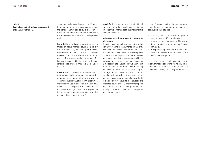## **Elmera** Group

### **Note 9**

**Derivatives and fair value measurement of financial instruments**

There were no transfers between level 1 and 2 for recurring fair value measurements during the period. The Group's policy is to recognise transfers into and transfers out of fair value hierarchy levels as at the end of the reporting period.

**Level 1:** The fair value of financial instruments traded in active markets (such as publicly traded derivatives, and trading and available-for-sale securities) is based on quoted market prices at the end of the reporting period. The quoted market price used for financial assets held by the Group is the current bid price. These instruments are included in level 1.

**Level 2:** The fair value of financial instruments that are not traded in an active market (for example, over-the-counter derivatives) is determined using valuation techniques which maximise the use of observable market data and rely as little as possible on entity-specific estimates. If all significant inputs required to fair value an instrument are observable, the instrument is included in level 2.

Level 3: If one or more of the significant inputs to a fair value valuation are not based on observable market data, the instrument is included in level 3.

## **Valuation techniques used to determine fair values**

Specific valuation techniques used to value derivative financial instruments, in majority electricity derivatives, include present value of future cash flows based on forward power prices from Nasdaq Commodities at the balance sheet date. In the case of material longterm contracts, the cash flows are discounted at a discount rate calculated by using interest rates on Government bonds with matching maturities, added a risk premium of 0,2 percentage points. Valuation method is used for bilateral forward contracts and option contracts associated with purchase and sale of electricity. Key inputs to the valuation are expected power prices (Nordic system price and area prices in the power price areas in Norway, Sweden and Finland), contract prices and discount rates.

Level 3 inputs consists of expected power prices for delivery periods which there is no observable market price:

- **•** Nordic system price for delivery periods beyond the next 10 calendar years,
- **•** Area prices for price areas in Norway for delivery periods beyond the next 3 calendar years,
- **•** Area prices for price areas in Sweden and Finland for delivery periods beyond the next 4 calendar years.

The Group does not hold electricity derivatives with maturities beyond the next 10 calendar years at 31 March 2022, hence all level 3 derivatives are long term area price contracts.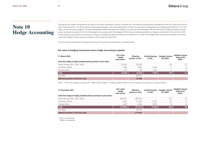## Elmera Group

## **Note 10 Hedge Accounting**

Derivatives are initially recognised at fair value on the date a derivative contract is entered into, and they are subsequently remeasured to their fair value at the end of each reporting period. The accounting for subsequent changes in fair value depends on whether the derivative is designated as a hedging instrument and, if so, the nature of the item being hedged. The group designates certain derivatives as hedges of a particular risk associated with the cash flows of highly probable forecast power purchase transactions in the five Norwegian price areas (cash flow hedges). While being considered as effective hedging instruments in Q3 and Q4 in 2021, Nordic system price forward contracts are no longer considered as effective heding instruments from Q1 2022 if the hedged item includes all variability in the future cash flows related to future power purchases in price areas NO3 and NO4.

The accounting implications of hedge accounting for the period is summarised in the table below.

### **Fair value of hedging instruments where hedge accounting is applied**

| 31 March 2022                                                     | <b>Fair value</b><br>hedge<br>instrument * | <b>Effective</b><br>portion in OCI * | <b>Ineffectiveness</b><br>in P&L * | <b>Hedged volume</b><br>Q2 2022** | <b>Hedged volume</b><br>beyond Q2<br>2022** |
|-------------------------------------------------------------------|--------------------------------------------|--------------------------------------|------------------------------------|-----------------------------------|---------------------------------------------|
| Cash flow hedge of highly probable power purchase in price areas: |                                            |                                      |                                    |                                   |                                             |
| South Norway (NO1, NO2, NO5)                                      | 30 4 25                                    | 30 4 25                              |                                    | 120                               | 27                                          |
| Trondheim (NO3)                                                   | 1800                                       | (434)                                | 2 2 3 4                            | 11                                | 8                                           |
| Tromsø (NO4)                                                      | 1 104                                      | 88                                   | 1016                               | $\overline{4}$                    | 6                                           |
| <b>Total</b>                                                      | 33 3 29                                    | 30 080                               | 3 2 5 0                            | 135                               | 41                                          |
| Tax effect                                                        |                                            | (6617)                               |                                    |                                   |                                             |
| <b>Effective portion in OCI net of tax</b>                        |                                            | 23 4 62                              |                                    |                                   |                                             |

NOKt -178 of the Hedging reserves at 31 March 2022 relates to hedging relationships for which hedge accounting is no longer applied.

| 31 December 2021                                                  | <b>Fair value</b><br>hedge<br>instrument* | <b>Effective</b><br>portion in OCI* | <b>Ineffectiveness</b><br>in P&L* | <b>Hedged volume</b><br>Q1 2022** | <b>Hedged volume</b><br>beyond Q1<br>2022** |
|-------------------------------------------------------------------|-------------------------------------------|-------------------------------------|-----------------------------------|-----------------------------------|---------------------------------------------|
| Cash flow hedge of highly probable power purchase in price areas: |                                           |                                     |                                   |                                   |                                             |
| South Norway (NO1, NO2, NO5)                                      | (88291)                                   | (88291)                             | $\overline{\phantom{a}}$          | 451                               | 22                                          |
| Trondheim (NO3)                                                   | 5831                                      | (2744)                              | 8575                              | 42                                | 6                                           |
| Tromsø (NO4)                                                      | 3498                                      | (435)                               | 3933                              | 16                                | 2                                           |
| <b>Total</b>                                                      | (78962)                                   | (91 470)                            | 12 508                            | 509                               | 30                                          |
| Tax effect                                                        |                                           | 20 123                              |                                   |                                   |                                             |
| Effective portion in OCI net of tax                               |                                           | (71347)                             |                                   |                                   |                                             |

*\* NOK in thousands*

*\*\* MWh in thousands*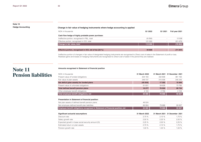## **Note 10**

## **Hedge Accounting Change in fair value of hedging instruments where hedge accounting is applied**

| NOK in thousands                                        | Q1 2022 | Q1 2021 | Full year 2021 |
|---------------------------------------------------------|---------|---------|----------------|
| Cash flow hedge of highly probable power purchase:      |         |         |                |
| Ineffective portion, recognised in P&L, total           | (9258)  | -       | 12 508         |
| Effective portion, recognised in OCI, total             | 121 550 |         | (91 470)       |
| Change in fair value, total                             | 112 292 | п.      | (78962)        |
|                                                         |         |         |                |
| Effective portion, recognised in OCI, net of tax (22 %) | 94 809  |         | (71347)        |
|                                                         |         |         |                |

Ineffective portion of changes in fair value of designated hedging instruments are recognised to *Direct cost of sales* in the Statement of profit or loss. Realised gains and losses on hedging instruments are recognised to *Direct cost of sales* in the period they are realised.

## **Note 11 Pension liabilities**

### **Amounts recognised in Statement of financial position**

| NOK in thousands                           | 31 March 2022 |         | 31 March 2021 31 December 2021 |
|--------------------------------------------|---------------|---------|--------------------------------|
| Present value of funded obligations        | 304 183       | 332 808 | 361 192                        |
| Fair value of plan assets                  | 349 737       | 315 506 | 345 243                        |
| Net deficit (plan assets) for funded plans | (45554)       | 17 302  | 15 949                         |
| Present value of unfunded obligations      | 61831         | 59 628  | 73 785                         |
| Total defined benefit pension plans        | 16 277        | 76 930  | 89 734                         |
| Other employee benefit obligations         | 4 103         | 2 7 5 9 | 4 103                          |
| Total employee benefit obligations, net    | 20 380        | 79 688  | 93 837                         |

## **Presentation in Statement of financial position:**

| Employee benefit obligations recognised in Statement of financial position, net |        |        | 93 837 |
|---------------------------------------------------------------------------------|--------|--------|--------|
| Net employee defined benefit plan liabilities                                   | 66.904 | 79 R88 | 93 837 |
| Net plan assets of defined benefit pension plans                                | 46 524 |        |        |

| Significant actuarial assumptions                  | 31 March 2022 |        | 31 March 2021 31 December 2021 |
|----------------------------------------------------|---------------|--------|--------------------------------|
| Discount rate                                      | 2.70%         | 2.10%  | 1,70 %                         |
| Salary growth rate                                 | 2.50%         | 2.25%  | 2,50 %                         |
| Expected growth in base social security amount (G) | 2.25%         | 2.00%  | 2,25%                          |
| Estimated return on plan assets                    | 2.70%         | 2.10%  | 1.70 %                         |
| Pension growth rate                                | 1.50%         | 1.25 % | 1.50%                          |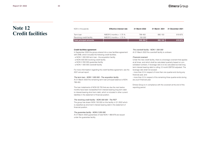## **Note 12 Credit facilities**

| NOK in thousands          | <b>Effective interest rate</b> | 31 March 2022 | 31 March 2021 | 31 December 2021 |
|---------------------------|--------------------------------|---------------|---------------|------------------|
| Term Ioan                 | NIBOR 3 months $+1.75$ %       | 796 450       | 890 150       | 819875           |
| Revolving credit facility | NIBOR 3 months $+1.75$ %       | 150 000       | -             |                  |
| Total principal amounts   |                                | 946 450       | 890 150       | 819 875          |

### **Credit facilities agreement**

In September 2020 the group entered into a new facilities agreement with DNB, which includes the following credit facilities;

- a NOKt 1 000 000 term loan - the acquisition facility

- a NOKt 500 000 revolving credit facility

- a NOKt 2 250 000 guarantee facility

- a NOKt 1 000 000 overdraft facility

For more informastion regarding the credit facilities agreement, see the 2021 annual report.

#### *The term loan - NOKt 1 000 000 - The acquisition facility*

At 31 March 2022 the remaining term loan principal balance is NOKt 796 450.

The loan instalments of NOKt 93 700 that are due the next twelve months have been reclassified from interest-bearing long term debt to interest-bearing short term debt, which is included in other current liabilities in the statement of financial position.

#### *The revolving credit facility - NOKt 500 000 - The RCF*

The group has drawn NOKt 150 000 on this facility in Q1 2022 which is classified as short-term interest bearing debt in the statement of financial position.

### *The guarantee facility - NOKt 2 250 000*

At 31 March 2022 guarantees of total NOKt 1 968 876 are issued under the guarantee facility.

### *The overdraft facility - NOKt 1 000 000*

At 31 March 2022 the overdraft facility is undrawn.

#### *Financial covenant*

Under the new credit facility, there is a leverage covenant that applies at all times, and which shall be calculated quarterly based on consolidated numbers. A leverage ratio is to be calculated as total long term interest bearing debt to rolling 12 month EBITDA adjusted. The leverage ratio shall not exceed:

- more than 2,5 in respect of more than one quarter-end during any financial year, and

- more than 2,0 in respect of the remaining three quarter-ends during any such financial year.

Elmera Group is in compliance with the covenant at the end of this reporting period.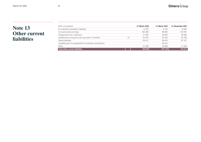## **Note 13 Other current liabilities**

| NOK in thousands                                          |    | 31 March 2022            | 31 March 2021 | 31 December 2021         |
|-----------------------------------------------------------|----|--------------------------|---------------|--------------------------|
| El-certificate cancellation liabilities                   |    | 14 753                   | 8 1 3 8       | 16 628                   |
| Accrued power purchase                                    |    | 320 290                  | 98 909        | 416 391                  |
| Prepayments from customers                                |    | 51 903                   | 64 382        | 56 948                   |
| Installments on long term loan due within 12 months       | 12 | 93 700                   | 93 700        | 93 700                   |
| Payroll liabilities                                       |    | 59 121                   | 58 915        | 57 727                   |
| Unsettled part of consideration for business combinations |    | $\overline{\phantom{a}}$ | 48 812        | $\overline{\phantom{a}}$ |
| Other                                                     |    | 21 039                   | 24 299        | 11 436                   |
| <b>Total other current liabilities</b>                    |    | 560 805                  | 397 155       | 652 831                  |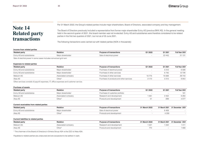## **Note 14 Related party transactions**

Per 31 March 2022, the Group's related parties include major shareholders, Board of Directors, associated company and key management.

The Board of Directors previously included a representative from former major shareholder Eviny AS (previous BKK AS). In the general meeting held in the second quarter of 2021, this board member was not re-elected. Eviny AS and subsidiaries were therefore considered to be related parties in the first two quarters of 2021, but not as of 30 June 2021.

The following transactions were carried out with related parties (NOK in thousands):

### **Income from related parties**

| <b>Related party</b>                                               | <b>Relation</b> | f transactions<br>וח באחזוונ | 21 2022 | Q1 2021 | Full Year 2021 |
|--------------------------------------------------------------------|-----------------|------------------------------|---------|---------|----------------|
| Eviny AS and subsidiaries<br>∟v…                                   | shareholder     | rıcaı powei                  |         | 23 443  | 10             |
| Sele of electric power in some cases includes reinvalged arid rent |                 |                              |         |         |                |

of electrial power in some cases includes reinvoiced grid rent.

### **Expenses to related parties**

| <b>Relation</b>    | <b>Purpose of transactions</b>          | Q1 2022 | Q1 2021 | Full Year 2021 |
|--------------------|-----------------------------------------|---------|---------|----------------|
| Major shareholder  | Purchase of electrical power            |         | 4 3 1 2 | 6588           |
| Major shareholder  | Purchase of other services              |         | 6745    | 12726          |
| Associated company | Purchase of other services              | 10775   | 10 568  | 38 743         |
| Other*             | Purchase of products and other services | 2 1 7 3 | 2 2 1 3 | 8853           |
|                    |                                         |         |         |                |

Other services consists of payroll expenses, IT, office expenses and customer service.

## **Purchase of assets**

| <b>Related party</b>      | <b>Relation</b>    | <b>Purpose of transactions</b> | Q1 2022 | Q1 2021 | Full Year 2021 |
|---------------------------|--------------------|--------------------------------|---------|---------|----------------|
| Eviny AS and subsidiaries | Maior shareholder  | Purchase of customer portfolio |         |         | 181            |
| Metzum AS                 | Associated company | Research and development       | -56     | 3 4 0 2 | 8 284          |
| Atea AS                   | Other*             | Products and development       |         | 289     | 4 0 7 7        |

### **Current receivables from related parties**

| <b>Related party</b>      | <b>Relation</b>          | Purpose of transactions | 31 March 2022 | 31 March 2021 | 31 December 2021 |
|---------------------------|--------------------------|-------------------------|---------------|---------------|------------------|
| Eviny AS and subsidiaries | <i>Aaior shareholder</i> | electrical power        |               | S 409         |                  |
| Atea AS                   | Other*                   | oducts and development  |               | 4 3 5 9       |                  |

## **Current liabilities to related parties**

| <b>Related party</b> | <b>Relation</b>    | Purpose of transactions  | 31 March 2022 |     | 31 March 2021 31 December 2021 |
|----------------------|--------------------|--------------------------|---------------|-----|--------------------------------|
| Metzum AS            | Associated company | Research and development |               | 342 |                                |
| Atea AS              | $Other*$           | Products and development | 70            |     | 956                            |

\* The chairman of the Board of Directors in Elmera Group ASA is the CEO of Atea ASA.

Payables to related parties are unsecured and are excpected to be settled in cash.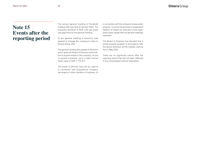## **Note 15 Events after the reporting period**

The annual general meeting of Fjordkraft Holding ASA was held on 26 April 2022. The proposed dividend of NOK 3,50 per share was approved by the general meeting.

At the general meeting a resolution was passed to change the company's name to Elmera Group ASA.

The general meeting also passed a resolution which gives the Board of Directors authorisation to acquire shares in the company, on one or several occasions, up to a total nominal share value of NOK 1,715,277.

The power of attorney may only be used (i) in connection with acquisitions, mergers, demergers or other transfers of business, (ii) in connection with the company's share option program, or (iii) for the purpose of subsequent deletion of shares by reduction of the registered share capital with the general meetings resolution.

The Board of Directors has decided that a share buyback program in accordance with the above resolution will be initiated, starting from 5 May 2022.

There are no significant events after the reporting period that has not been reflected in the consolidated financial statements.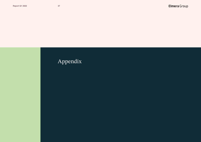# Appendix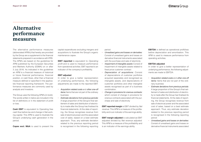The alternative performance measures (abbreviated APM's) that hereby are provided by the Group are a supplement to the financial statements prepared in accordance with IFRS. The APM's are based on the guidelines for APM published by the European Securities and Markets Authority (ESMA) on or after 3 July 2016. As indicated in the guidelines an APM is a financial measure of historical or future financial performance, financial position, or cash flows, other than a financial measure defined or specified in the applicable financial reporting framework. The performance measures are commonly used by analysts and investors.

The Group uses the following APM's (in bold). The words written in italics are included in the list of definitions or in the statement of profit or loss.

**Cash EBIT** is equivalent to Operating free cash flow before tax and change in Net working capital. This APM is used to illustrate the Group's underlying cash generation in the period.

**Capex excl. M&A** is used to present the

capital expenditures excluding mergers and acquisitions to illustrate the Group's organic maintenance capex.

**EBIT reported** is equivalent to *Operating profit* and is used to measure performance from operational activities. EBIT reported is an indicator of the company's profitability.

### **EBIT adjusted**

In order to give a better representation of underlying performance, the following adjustments are made to the reported EBIT:

- **•** *Acquisition related costs* and *other one-off items:* Items that are not part of the ordinary business
- **•** *Estimate deviations from previous periods:*  A large proportion of the Group's final settlement of sales and distribution of electricity is made after the Group has finalised its financial statements. At the date of reporting, the Group recognises revenue from sale of electrical power and the associated cost of sales, based on a best estimate approach. Thus, any estimate deviation related to the previous reporting period is recognised in the following reporting

### period

- **•** *Unrealised gains and losses on derivaties:* Consist of unrealised gains and losses on derivative financial instruments associated with the purchase and sale of electricity
- **•** *Impairment of intangible assets:* Consist of impairment of intangible assets related to fixed price customer contract
- **•** *Depreciation of acquisitions:* Consist of depreciations of customer portfolios acquired seperately and recognised as intangible assets, and depreciations of customer portfolios and other intangible assets recognised as part of a business combination.
- **•** *Change in provisions for onerous contracts:* which consist of change in provisions for onerous contracts associated with the purchase and sale of electricity

**EBIT reported margin** is EBIT divided by *Net revenue*. This APM is a measure of the profitability and is an indicator of the earnings ability.

**EBIT margin adjusted** is calculated as EBIT adjusted divided by *Net revenue adjusted*. This APM is a measure of the profitability and is an indicator of the earnings ability.

**EBITDA** is defined as operational profit/loss before depreciation and amortisation. This APM is used to measure performance from operating activities.

### **EBITDA adjusted**

In order to give a better representation of underlying performance, the following adjustments are made to EBITDA:

- **•** *Acquisition related costs* and *other one-off items:* Items that are not part of the ordinary business
- **•** *Estimate deviations from previous periods:* A large proportion of the Group's final settlement of sales and distribution of electricity is made after the Group has finalised its financial statements. At the date of reporting, the Group recognises revenue from sale of electrical power and the associated cost of sales, based on a best estimate approach. Thus, any estimate deviation related to the previous reporting period is recognised in the following reporting period
- **•** *Unrealised gains and losses on derivaties:* Consist of unrealised gains and losses on derivative financial instruments associated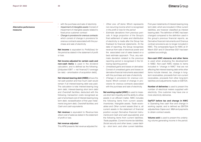- **•** with the purchase and sale of electricity
- **•** *Impairment of intangible assets:* Consist of impairment of intangible assets related to fixed price customer contract
- **•** *Change in provisions for onerous contracts:* which consist of change in provisions for onerous contracts associated with the purchase and sale of electricity

**Net income** is equivalent to *Profit/(loss) for the period* as stated in the statement of profit or loss.

**Net income adjusted for certain cash and non-cash items** is used in the dividend calculation, and is defined as the following:  $[(\text{Adjusted EBIT + net finance})*(1-\text{average}]$ tax rate) – amortisation of acquisition debt].

**Net interest-bearing debt (NIBD)** shows the net cash position and how much cash would remain if all interest-bearing debt was paid. The calculation is total *Interest-bearing long term debt, Interest-bearing short term debt*  and *Overdraft facilities,* deducted with the following; transaction costs recognised as part of amortised cost of Interest-bearing long term debt, reclassification of first year instalments long term debt, *Overdraft facilities,* and *Cash and cash equivalents.* 

**Net revenue** is equivalent to *Revenue* less *direct cost of sales* as stated in the statement of profit or loss.

### **Net revenue adjusted**

This APM presents *Net revenue* adjusted for:

- **•** *Other one- off items:* Which represents non-recurring income which is recognised *in the profit or loss for the period*
- **•** *Estimate deviations from previous periods:* A large proportion of the Group's final settlement of sales and distribution of electricity is made after the Group has finalised its financial statements. At the date of reporting, the Group recognises revenue from sale of electrical power and the associated cost of sales based on a best estimate approach. Thus, any estimate deviation related to the previous reporting period is recognised in the following reporting period
- **•** *Unrealised gains and losses on derivaties:*  Consist of unrealised gains and losses on derivative financial instruments associated with the purchase and sale of electricity
- **•** *Change in provisions for onerous contracts:* Which consist of change in provisions for onerous contracts associated with the purchase and sale of electricity.

**Net working capital (NWC)** is used to measure short-term liquidity and the ability to utilise assets in an efficient matter. NWC includes the following items from current assets: *Inventories, Intangible assets, Trade receivables* and *Other current assets* (that is, all current assets in the statement of financial position except *Derivative financial instruments* and *Cash and cash equivalents*); and the following items from current liabilities; *Trade payables, Current income tax liabilities, Social security and other taxes, Lease liability - short term,* and *other current liabilities.*

First year instalments of interest-bearing long term debt, which are included in Other current liabilities, are however classified as interest bearing debt. The definition of NWC has been changed compared to the definition used in the group's previous financial reports, as Derivative financial instruments and Onerous contract provisions are no longer included in NWC. The comparable figure for NWC at 31 March 2021 and 31 December 2021 has been updated accordingly.

### **Non-cash NWC elements and other items**

is used when analysing the development in NIBD. Non-cash NWC relates to items included in "change in NWC" that are not affecting Net interest-bearing debt while other items include interest, tax, change in longterm receivables, proceeds from non-current receivables, proceeds from other long-term liabilities and adjustments made on EBITDA.

**Number of deliveries** is used to present the number of electrical meters supplied with electricity. One customer may have one or more electricity deliveries.

**OpFCF before tax and change in NWC** is Operating free cash flow and change in working capital, and is defined as *EBITDA adjusted* less *Capex excl. M&A* and payments to obtain contract assets.

**Volume sold** is used to present the underlying volume generating income in the period.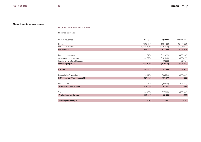Financial statements with APM's

## **Reported amounts:**

| NOK in thousands                        | Q1 2022   | Q1 2021       | Full year 2021 |
|-----------------------------------------|-----------|---------------|----------------|
| Revenue                                 | 6718296   | 4 0 5 4 8 6 9 | 15 170 991     |
| Direct cost of sales                    | (6206461) | (3521245)     | (13367251)     |
| <b>Net revenue</b>                      | 511 835   | 533 624       | 1803741        |
|                                         |           |               |                |
| Personnel expenses                      | (111317)  | (111 493)     | (409 123)      |
| Other operating expenses                | (149 870) | (131 246)     | (488517)       |
| Impairment of intangible assets         |           | (9533)        | (9762)         |
| <b>Operating expenses</b>               | (261187)  | (252 272)     | (907 401)      |
|                                         |           |               |                |
| <b>EBITDA</b>                           | 250 647   | 281 352       | 896 340        |
|                                         |           |               |                |
| Depreciation & amortisation             | (96 119)  | (99774)       | (403084)       |
| <b>EBIT reported (Operating profit)</b> | 154 528   | 181 577       | 493 256        |
|                                         |           |               |                |
| Net financials                          | (11072)   | (20 566)      | (48737)        |
| Profit/ (loss) before taxes             | 143 456   | 161 011       | 444 519        |
|                                         |           |               |                |
| Taxes                                   | (33 409)  | (27368)       | (102 150)      |
| Profit/ (loss) for the year             | 110 047   | 133 643       | 342 369        |
|                                         |           |               |                |
| <b>EBIT reported margin</b>             | 30%       | 34%           | 27%            |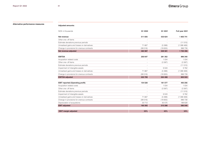**Alternative performance measures Adjusted amounts:**

| NOK in thousands                           | Q1 2022 | Q1 2021 | Full year 2021 |
|--------------------------------------------|---------|---------|----------------|
| Net revenue                                | 511 835 | 533 624 | 1803741        |
| Other one- off items                       |         |         |                |
| Estimate deviations previous periods       |         |         | (11515)        |
| Unrealised gains and losses on derivatives | 71 667  | (5388)  | (1088469)      |
| Change in provisions for onerous contracts | (99516) | (18655) | 996 739        |
| Net revenue adjusted                       | 483 987 | 509 581 | 1700 496       |
| <b>EBITDA</b>                              | 250 647 | 281 352 | 896 340        |
| Acquisition related costs                  |         | 1 0 3 4 | 1 0 3 4        |
| Other one- off items                       |         | (3387)  | (3387)         |
| Estimate deviations previous periods       |         |         | (11515)        |
| Impairment of intangible assets            |         | 9533    | 9762           |
| Unrealised gains and losses on derivatives | 71 667  | (5388)  | (1088469)      |
| Change in provisions for onerous contracts | (99516) | (18655) | 996 739        |
| <b>EBITDA</b> adjusted                     | 222 799 | 264 488 | 800 503        |
| <b>EBIT reported (Operating profit)</b>    | 154 528 | 181 577 | 493 256        |
| Acquisition related costs                  |         | 1 0 3 4 | 1 0 3 4        |
| Other one- off items                       |         | (3387)  | (3387)         |
| Estimate deviations previous periods       |         |         | (11515)        |
| Impairment of intangible assets            |         | 9533    | 9762           |
| Unrealised gains and losses on derivatives | 71 667  | (5388)  | (1088469)      |
| Change in provisions for onerous contracts | (99516) | (18655) | 996 739        |
| Depreciation of acquistions                | 33713   | 50 575  | 188 629        |
| <b>EBIT adjusted</b>                       | 160 393 | 215 288 | 586 048        |
| <b>EBIT</b> margin adjusted                | 33%     | 42%     | 34%            |